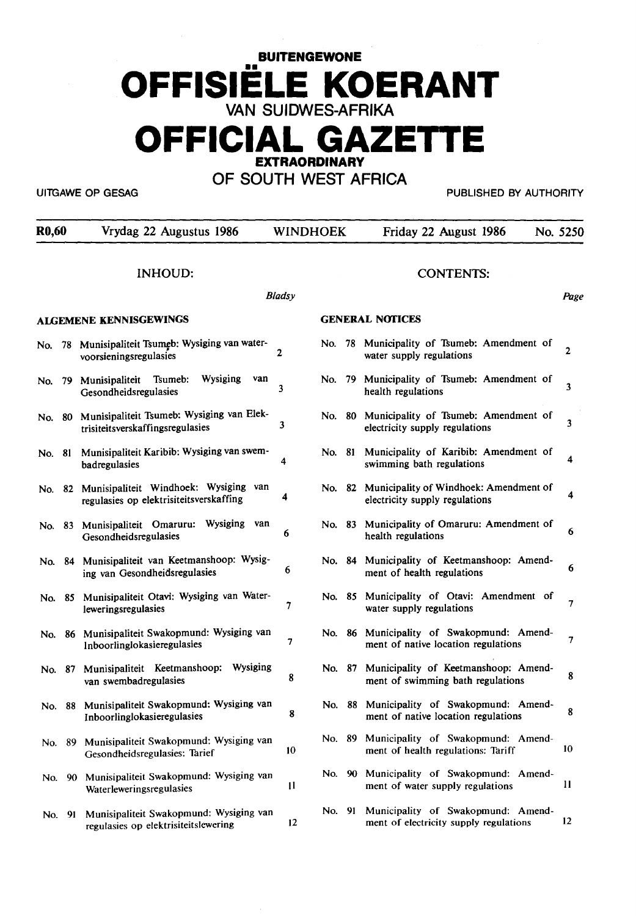# **BUITENGEWONE OFFISIELE KOERANT VAN SUIDWES-AFRIKA**

# **OFFICIAL GAZETIE EXTRAORDINARY**

**OF SOUTH WEST AFRICA** 

UITGAWE OP GESAG PUBLISHED BY AUTHORITY

| <b>R0,60</b> |        | Vrydag 22 Augustus 1986                                                          | <b>WINDHOEK</b> |                        |  | Friday 22 August 1986                                                            | No. 5250     |
|--------------|--------|----------------------------------------------------------------------------------|-----------------|------------------------|--|----------------------------------------------------------------------------------|--------------|
|              |        | <b>INHOUD:</b>                                                                   | <b>Bladsy</b>   |                        |  | <b>CONTENTS:</b>                                                                 | Page         |
|              |        | <b>ALGEMENE KENNISGEWINGS</b>                                                    |                 | <b>GENERAL NOTICES</b> |  |                                                                                  |              |
|              |        | No. 78 Munisipaliteit Tsumeb: Wysiging van water-<br>voorsieningsregulasies      | 2               |                        |  | No. 78 Municipality of Tsumeb: Amendment of<br>water supply regulations          | 2            |
| No.          | 79     | Wysiging<br>van<br>Munisipaliteit<br>Tsumeb:<br>Gesondheidsregulasies            | 3               | No. 79                 |  | Municipality of Tsumeb: Amendment of<br>health regulations                       | 3            |
| No. 80       |        | Munisipaliteit Tsumeb: Wysiging van Elek-<br>trisiteitsverskaffingsregulasies    | 3               | No. 80                 |  | Municipality of Tsumeb: Amendment of<br>electricity supply regulations           | 3            |
| No. 81       |        | Munisipaliteit Karibib: Wysiging van swem-<br>badregulasies                      | 4               | No. 81                 |  | Municipality of Karibib: Amendment of<br>swimming bath regulations               | 4            |
| No. 82       |        | Munisipaliteit Windhoek: Wysiging van<br>regulasies op elektrisiteitsverskaffing | 4               |                        |  | No. 82 Municipality of Windhoek: Amendment of<br>electricity supply regulations  | 4            |
| No. 83       |        | Munisipaliteit Omaruru:<br>Wysiging<br>van<br>Gesondheidsregulasies              | 6               | No. 83                 |  | Municipality of Omaruru: Amendment of<br>health regulations                      | 6            |
|              | No. 84 | Munisipaliteit van Keetmanshoop: Wysig-<br>ing van Gesondheidsregulasies         | 6               |                        |  | No. 84 Municipality of Keetmanshoop: Amend-<br>ment of health regulations        | 6            |
|              | No. 85 | Munisipaliteit Otavi: Wysiging van Water-<br>leweringsregulasies                 | 7               | No. 85                 |  | Municipality of Otavi: Amendment of<br>water supply regulations                  | 7            |
|              |        | No. 86 Munisipaliteit Swakopmund: Wysiging van<br>Inboorlinglokasieregulasies    | 7               | No. 86                 |  | Municipality of Swakopmund: Amend-<br>ment of native location regulations        | 7            |
|              | No. 87 | Munisipaliteit Keetmanshoop: Wysiging<br>van swembadregulasies                   | 8               | No. 87                 |  | Municipality of Keetmanshoop: Amend-<br>ment of swimming bath regulations        | 8            |
|              | No. 88 | Munisipaliteit Swakopmund: Wysiging van<br>Inboorlinglokasieregulasies           | 8               |                        |  | No. 88 Municipality of Swakopmund: Amend-<br>ment of native location regulations | 8            |
|              |        | No. 89 Munisipaliteit Swakopmund: Wysiging van<br>Gesondheidsregulasies: Tarief  | 10              |                        |  | No. 89 Municipality of Swakopmund: Amend-<br>ment of health regulations: Tariff  | 10           |
|              |        | No. 90 Munisipaliteit Swakopmund: Wysiging van<br>Waterleweringsregulasies       | $\mathbf{1}$    | No. 90                 |  | Municipality of Swakopmund: Amend-<br>ment of water supply regulations           | $\mathbf{1}$ |
|              | No. 91 | Munisipaliteit Swakopmund: Wysiging van<br>regulasies op elektrisiteitslewering  | 12              | No. 91                 |  | Municipality of Swakopmund: Amend-<br>ment of electricity supply regulations     | 12           |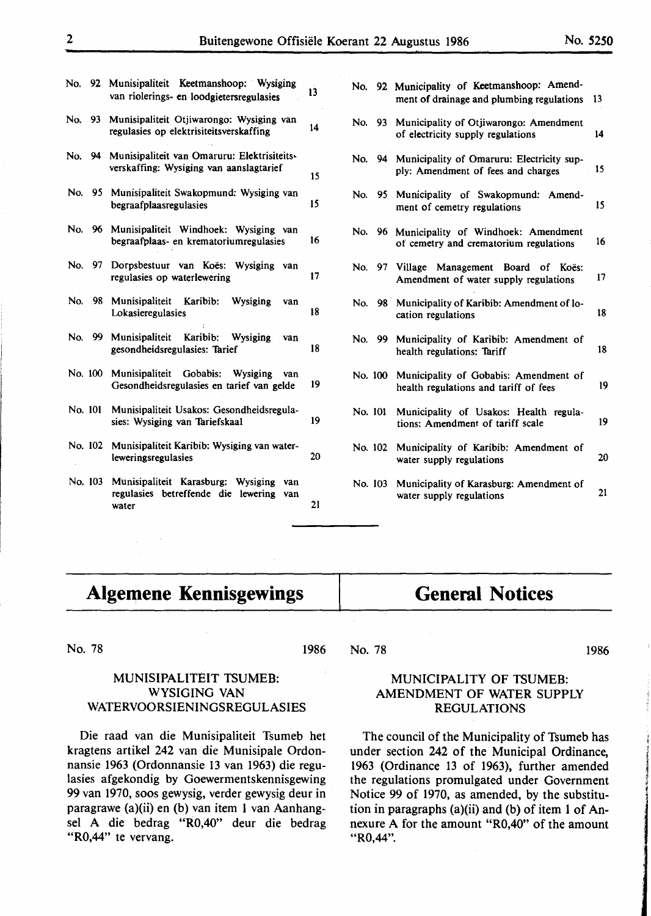|        |         | No. 92 Munisipaliteit Keetmanshoop: Wysiging<br>van riolerings- en loodgietersregulasies   | $\overline{13}$ |
|--------|---------|--------------------------------------------------------------------------------------------|-----------------|
| No.    | 93      | Munisipaliteit Otjiwarongo: Wysiging van<br>regulasies op elektrisiteitsverskaffing        | 14              |
| No. 94 |         | Munisipaliteit van Omaruru: Elektrisiteits-<br>verskaffing: Wysiging van aanslagtarief     | 15              |
|        | No. 95  | Munisipaliteit Swakopmund: Wysiging van<br>begraafplaasregulasies                          | 15              |
| No.    | 96      | Munisipaliteit Windhoek: Wysiging<br>van<br>begraafplaas- en krematoriumregulasies         | 16              |
| No.    | 97      | Dorpsbestuur van Koës:<br>Wysiging<br>van<br>regulasies op waterlewering                   | 17              |
| No.    | 98      | Munisipaliteit Karibib:<br>Wysiging<br>van<br>Lokasieregulasies                            | 18              |
| No.    | 99.     | Munisipaliteit<br>Karibib: Wysiging<br>van<br>gesondheidsregulasies: Tarief                | 18              |
|        | No. 100 | Munisipaliteit Gobabis: Wysiging<br>van<br>Gesondheidsregulasies en tarief van gelde       | 19              |
|        | No. 101 | Munisipaliteit Usakos: Gesondheidsregula-<br>sies: Wysiging van Tariefskaal                | 19              |
|        | No. 102 | Munisipaliteit Karibib: Wysiging van water-<br>leweringsregulasies                         | 20              |
|        | No. 103 | Munisipaliteit Karasburg: Wysiging<br>van<br>regulasies betreffende die<br>lewering<br>van |                 |

regulasies betreffende die lewering van water  $21$ 

|         |         | No. 92 Municipality of Keetmanshoop: Amend-<br>ment of drainage and plumbing regulations | 13 |
|---------|---------|------------------------------------------------------------------------------------------|----|
|         |         | No. 93 Municipality of Otjiwarongo: Amendment<br>of electricity supply regulations       | 14 |
|         |         | No. 94 Municipality of Omaruru: Electricity sup-<br>ply: Amendment of fees and charges   | 15 |
|         |         | No. 95 Municipality of Swakopmund: Amend-<br>ment of cemetry regulations                 | 15 |
|         |         | No. 96 Municipality of Windhoek: Amendment<br>of cemetry and crematorium regulations     | 16 |
|         |         | No. 97 Village Management Board of Koës:<br>Amendment of water supply regulations        | 17 |
|         |         | No. 98 Municipality of Karibib: Amendment of lo-<br>cation regulations                   | 18 |
|         | No. 99  | Municipality of Karibib: Amendment of<br>health regulations: Tariff                      | 18 |
|         | No. 100 | Municipality of Gobabis: Amendment of<br>health regulations and tariff of fees           | 19 |
| No. 101 |         | Municipality of Usakos: Health regula-<br>tions: Amendment of tariff scale               | 19 |
|         | No. 102 | Municipality of Karibib: Amendment of<br>water supply regulations                        | 20 |
|         | No. 103 | Municipality of Karasburg: Amendment of<br>water supply regulations                      | 21 |
|         |         |                                                                                          |    |

# Algemene Kennisgewings | General Notices

No. 78 1986

#### No. 78

1986

# MUNISIPALITEIT TSUMEB: WYSIGING VAN WATERVOORSIENINGSREGULASIES

Die raad van die Munisipaliteit Tsumeb het kragtens artikel 242 van die Munisipale Ordonnansie 1963 (Ordonnansie 13 van 1963) die regulasies afgekondig by Goewermentskennisgewing 99 van 1970, soos gewysig, verder gewysig deur in paragrawe (a)(ii) en (b) van item 1 van Aanhangsel A die bedrag "R0,40" deur die bedrag "R0,44" te vervang.

# MUNICIPALITY OF TSUMEB: AMENDMENT OF WATER SUPPLY REGULATIONS

The council of the Municipality of Tsumeb has under section 242 of the Municipal Ordinance, 1963 (Ordinance 13 of 1963), further amended the regulations promulgated under Government Notice 99 of 1970, as amended, by the substitution in paragraphs (a)(ii) and (b) of item 1 of Annexure A for the amount "R0,40" of the amount "R0,44".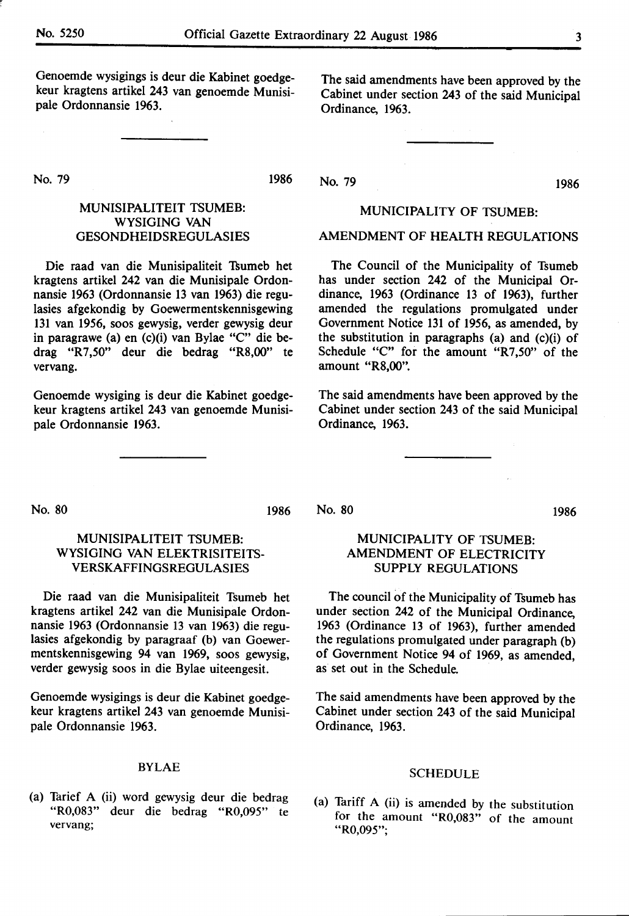Genoemde wysigings is deur die Kabinet goedgekeur kragtens artikel 243 van genoemde Munisipale Ordonnansie 1963.

No. 79

1986

# MUNISIPALITEIT TSUMEB: WYSIGING VAN GESONDHEIDSREGULASIES

Die raad van die Munisipaliteit Thumeb bet kragtens artikel 242 van die Munisipale Ordonnansie 1963 (Ordonnansie 13 van 1963) die regulasies afgekondig by Goewermentskennisgewing 131 van 1956, soos gewysig, verder gewysig deur in paragrawe (a) en (c)(i) van Bylae "C" die bedrag "R 7 ,50" deur die bedrag **"R8,00"** te vervang.

Genoemde wysiging is deur die Kabinet goedgekeur kragtens artikel 243 van genoemde Munisipale Ordonnansie 1963.

The said amendments have been approved by the Cabinet under section 243 of the said Municipal Ordinance, 1963.

No. 79 1986

# MUNICIPALITY OF TSUMEB:

# AMENDMENT OF HEALTH REGULATIONS

The Council of the Municipality of Tsumeb has under section 242 of the Municipal Ordinance, 1963 (Ordinance 13 of 1963), further amended the regulations promulgated under Government Notice 131 of 1956, as amended, by the substitution in paragraphs (a) and (c)(i) of Schedule "C" for the amount "R7,50" of the amount **"R8,00".** 

The said amendments have been approved by the Cabinet under section 243 of the said Municipal Ordinance, 1963.

No. 80

1986

No. 80

1986

# MUNISIPALITEIT TSUMEB: WYSIGING VAN ELEKTRISITEITS-VERSKAFFINGSREGULASIES

Die raad van die Munisipaliteit Tsumeb bet kragtens artikel 242 van die Munisipale Ordonnansie 1963 (Ordonnansie 13 van 1963) die regulasies afgekondig by paragraaf (b) van Goewermentskennisgewing 94 van 1969, soos gewysig, verder gewysig soos in die Bylae uiteengesit.

Genoemde wysigings is deur die Kabinet goedgekeur kragtens artikel 243 van genoemde Munisipale Ordonnansie 1963.

# **BYLAE**

(a) Thrief A (ii) word gewysig deur die bedrag "R0,083" deur die bedrag "R0,095" · te **vervang;** 

# MUNICIPALITY OF TSUMEB: AMENDMENT OF ELECTRICITY SUPPLY REGULATIONS

The council of the Municipality of Tsumeb has under section 242 of the Municipal Ordinance, 1963 (Ordinance 13 of 1963), further amended the regulations promulgated under paragraph (b) of Government Notice 94 of 1969, as amended, as set out in the Schedule.

The said amendments have been approved by the Cabinet under section 243 of the said Municipal Ordinance, 1963.

#### SCHEDULE

(a) Tariff A (ii) is amended by the substitution for the amount **"R0,083"** of the amount **"R0,095";**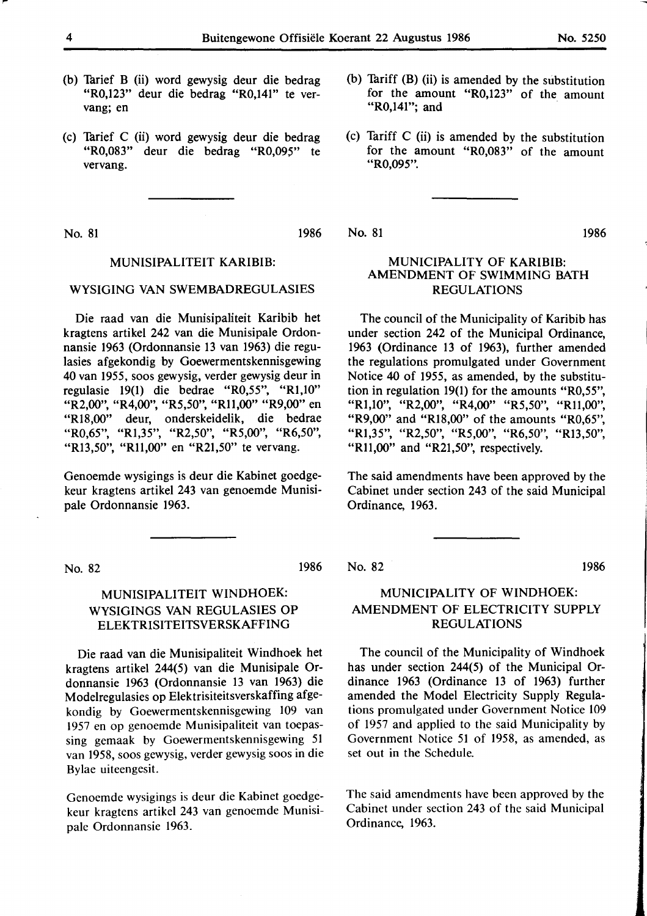- (b) Tarief B (ii) word gewysig deur die bedrag "R0,123" deur die bedrag "R0,141" te vervang; en
- (c) Turief C (ii) word gewysig deur die bedrag "R0,083" deur die bedrag "R0,09S" te vervang.

No. 81 1986

# MUNISIPALITEIT KARIBIB:

# WYSIGING VAN SWEMBADREGULASIES

Die raad van die Munisipaliteit Karibib bet kragtens artikel 242 van die Munisipale Ordonnansie 1963 (Ordonnansie 13 van 1963) die regulasies afgekondig by Goewermentskennisgewing 40 van 1955, soos gewysig, verder gewysig deur in regulasie 19(1) die bedrae "R0,55", "Rl,10" "R2,00", "R4,00", "R5,50", "Rll,00" "R9,00" en "Rl8,00" deur, onderskeidelik, die bedrae "R0,65", "Rl,35", "R2,50", "R5,00", "R6,50", "R13,50", "R11,00" en "R21,50" te vervang.

Genoemde wysigings is deur die Kabinet goedgekeur kragtens artikel 243 van genoemde Munisipale Ordonnansie 1963.

No. 82

# MUNISIPALITEIT WINDHOEK: WYSIGINGS VAN REGULASIES OP **ELEKTRISITEITSVERSKAFFING**

Die raad van die Munisipaliteit Windhoek bet kragtens artikel 244(5) van die Munisipale Ordonnansie 1963 (Ordonnansie 13 van 1963) die Modelregulasies op Elektrisiteitsverskaffing afgekondig by Goewermentskennisgewing 109 van 1957 en op genoemde Munisipaliteit van toepassing gemaak by Goewermentskennisgewing 51 van 1958, soos gewysig, verder gewysig soos in die Bylae uiteengesit.

Genoemde wysigings is deur die Kabinet goedgekeur kragtens artikel 243 van genoemde Munisipale Ordonnansie 1963.

- (b) Tariff  $(B)$  (ii) is amended by the substitution for the amount "R0,123" of the amount "R0,141"; and
- (c) Tariff C (ii) is amended by the substitution for the amount **"R0,083"** of the amount **"R0,095".**

No. 81 1986

# MUNICIPALITY OF **KARIBIB:**  AMENDMENT OF SWIMMING BATH REGULATIONS

The council of the Municipality of Karibib has under section 242 of the Municipal Ordinance, 1963 (Ordinance 13 of 1963), further amended the regulations promulgated under Government Notice 40 of 1955, as amended, by the substitution in regulation 19(1) for the amounts "R0,55", "Rl,10", "R2,00", "R4,00" "R5,50", "Rll,00", "R9,00" and "Rl8,00" of the amounts "R0,65", "Rl,35", "R2,50", "R5,00", "R6,50", "Rl3,50", "R11,00" and "R21,50", respectively.

The said amendments have been approved by the Cabinet under section 243 of the said Municipal Ordinance, 1963.

No. 82 1986

1986

# MUNICIPALITY OF WINDHOEK: AMENDMENT OF ELECTRICITY SUPPLY REGULATIONS

The council of the Municipality of Windhoek has under section 244(5) of the Municipal Ordinance 1963 (Ordinance 13 of 1963) further amended the Model Electricity Supply Regulations promulgated under Government Notice 109 of 1957 and applied to the said Municipality by Government Notice 51 of 1958, as amended, as set out in the Schedule.

The said amendments have been approved by the Cabinet under section 243 of the said Municipal Ordinance, 1963.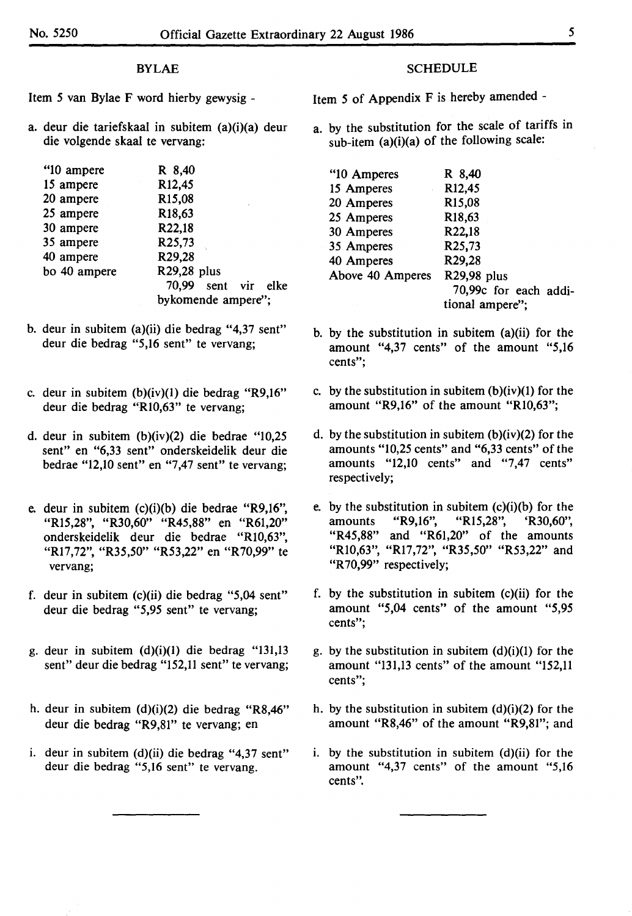# BYLAE

Item *5* van Bylae F word hierby gewysig -

a. deur die tariefskaal in subitem (a)(i)(a) deur die volgende skaal te vervang:

| "10 ampere   | R 8,40              |
|--------------|---------------------|
| 15 ampere    | R12,45              |
| 20 ampere    | R <sub>15</sub> ,08 |
| 25 ampere    | R18,63              |
| 30 ampere    | R22,18              |
| 35 ampere    | R25,73              |
| 40 ampere    | R29,28              |
| bo 40 ampere | R29,28 plus         |
|              | 70.99 sent vir elke |
|              | bykomende ampere";  |

- b. deur in subitem (a)(ii) die bedrag "4,37 sent" deur die bedrag "5,16 sent" te vervang;
- c. deur in subitem (b)(iv)(l) die bedrag "R9,16" deur die bedrag "Rl0,63" te vervang;
- d. deur in subitem (b)(iv)(2) die bedrae "10,25 sent" en "6,33 sent" onderskeidelik deur die bedrae "12,10 sent" en "7,47 sent" te vervang;
- e. deur in subitem (c)(i)(b) die bedrae "R9,16", "Rl5,28", "R30,60" "R45,88" en "R61,20" onderskeidelik deur die bedrae "Rl0,63", "R17,72", "R35,50" "R53,22" en "R70,99" te vervang;
- f. deur in subitem (c)(ii) die bedrag "5,04 sent" deur die bedrag *"5,95* sent" te vervang;
- g. deur in subitem (d)(i)(l) die bedrag "131,13 sent" deur die bedrag "152,11 sent" te vervang;
- h. deur in subitem (d)(i)(2) die bedrag "R8,46" deur die bedrag "R9,81" te vervang; en
- i. deur in subitem (d)(ii) die bedrag "4,37 sent" deur die bedrag "5,16 sent" te vervang.

# **SCHEDULE**

Item *5* of Appendix F is hereby amended -

a. by the substitution for the scale of tariffs in sub-item (a)(i)(a) of the following scale:

| "10 Amperes      | R 8,40                |
|------------------|-----------------------|
| 15 Amperes       | R12,45                |
| 20 Amperes       | R15,08                |
| 25 Amperes       | R <sub>18</sub> ,63   |
| 30 Amperes       | R22,18                |
| 35 Amperes       | R <sub>25</sub> ,73   |
| 40 Amperes       | R29,28                |
| Above 40 Amperes | R29,98 plus           |
|                  | 70,99c for each addi- |
|                  | tional ampere";       |

- b. by the substitution in subitem (a)(ii) for the amount "4,37 cents" of the amount **"5,16**  cents";
- c. by the substitution in subitem  $(b)(iv)(1)$  for the amount **"R9,16"** of the amount **"Rl0,63";**
- d. by the substitution in subitem  $(b)(iv)(2)$  for the amounts "10,25 cents" and "6,33 cents" of the amounts "12,10 cents" and "7,47 cents" respectively;
- e. by the substitution in subitem (c)(i)(b) for the amounts "R9,16", "Rl5,28", 'R30,60", "R45,88" and "R61,20" of the amounts "Rl0,63", "Rl7,72", "R35,50" "R53,22" and "R 70,99" respectively;
- f. by the substitution in subitem (c)(ii) for the amount "5,04 cents" of the amount *"5,95*  cents";
- g. by the substitution in subitem  $(d)(i)(1)$  for the amount "131,13 cents" of the amount "152,11 cents";
- h. by the substitution in subitem  $(d)(i)(2)$  for the amount **"R8,46"** of the amount **"R9,81";** and
- $i.$  by the substitution in subitem (d)(ii) for the amount "4,37 cents" of the amount "5,16 cents".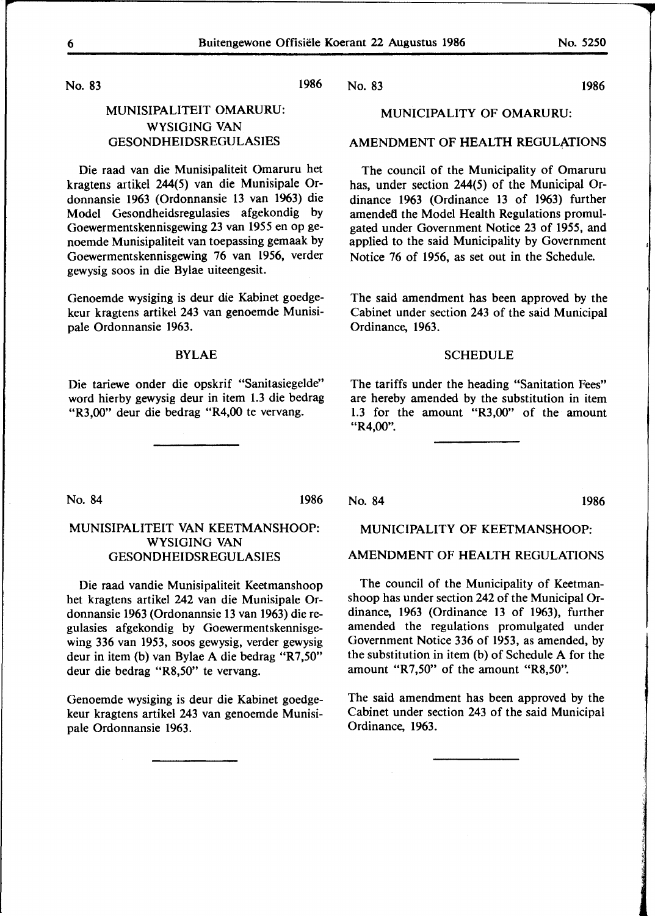No. 83

# MUNISIPALITEIT **OMARURU:**  WYSIGING VAN GESONDHEIDSREGULASIES

Die raad van die Munisipaliteit Omaruru het kragtens artikel 244(5) van die Munisipale Ordonnansie 1963 (Ordonnansie 13 van 1963) die Model Gesondheidsregulasies afgekondig by Goewermentskennisgewing 23 van 1955 en op genoemde Munisipaliteit van toepassing gemaak by Goewermentskennisgewing 76 van 1956, verder gewysig soos in die Bylae uiteengesit.

Genoemde wysiging is deur die Kabinet goedgekeur kragtens artikel 243 van genoemde Munisipale Ordonnansie 1963.

#### **BYLAE**

Die tariewe onder die opskrif "Sanitasiegelde" word hierby gewysig deur in item 1.3 die bedrag "R3,00" deur die bedrag "R4,00 te vervang.

1986

No. 83 1986

### **MUNICIPALITY** OF **OMARURU:**

# AMENDMENT OF HEALTH REGULATIONS

The council of the Municipality of Omaruru has, under section 244(5) of the Municipal Ordinance 1963 (Ordinance 13 of 1963) further amended the Model Health Regulations promulgated under Government Notice 23 of 1955, and applied to the said Municipality by Government Notice 76 of 1956, as set out in the Schedule.

The said amendment has been approved by the Cabinet under section 243 of the said Municipal Ordinance, 1963.

#### SCHEDULE

The tariffs under the heading "Sanitation Fees" are hereby amended by the substitution in item 1.3 for the amount "R3,00" of the amount "R4,00".

No. 84 1986

# MUNISIPALITEIT VAN KEETMANSHOOP: WYSIGING VAN GESONDHEIDSREGULASIES

Die raad vandie Munisipaliteit Keetmanshoop het kragtens artikel 242 van die Munisipale Ordonnansie 1963 (Ordonannsie 13 van 1963) die regulasies afgekondig by Goewermentskennisgewing 336 van 1953, soos gewysig, verder gewysig deur in item (b) van Bylae A die bedrag "R7,50" deur die bedrag "R8,50" te vervang.

Genoemde wysiging is deur die Kabinet goedgekeur kragtens artikel 243 van genoemde Munisipale Ordonnansie 1963.

#### No. 84 1986

#### MUNICIPALITY OF KEETMANSHOOP:

# AMENDMENT OF HEALTH REGULATIONS

The council of the Municipality of Keetmanshoop has under section 242 of the Municipal Ordinance, 1963 (Ordinance 13 of 1963), further amended the regulations promulgated under Government Notice 336 of 1953, as amended, by the substitution in item (b) of Schedule A for the amount "R7,50" of the amount "R8,50".

The said amendment has been approved by the Cabinet under section 243 of the said Municipal Ordinance, 1963.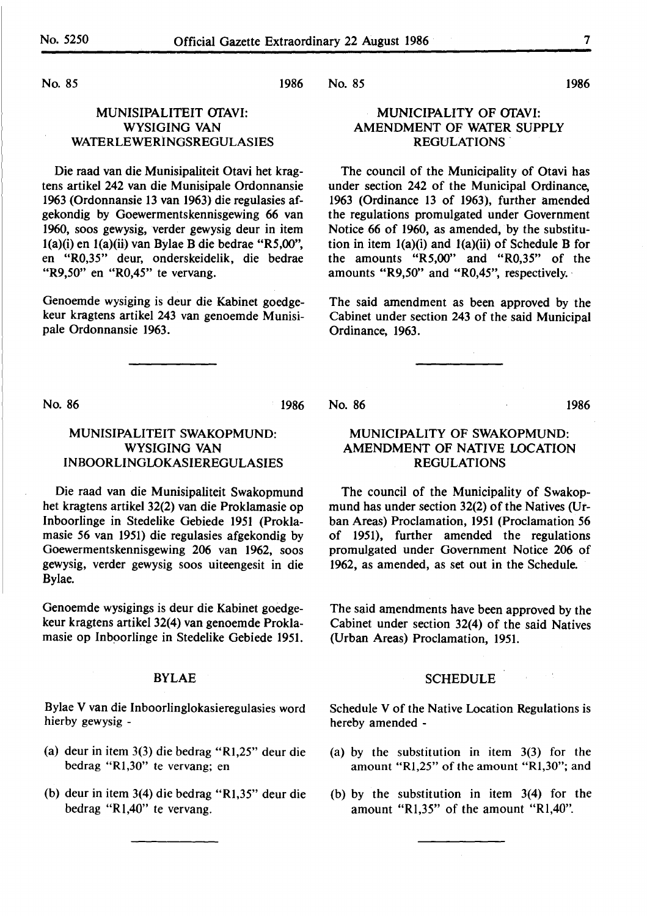1986

No. 85

# MUNISIPALITEIT OfAVI: WYSIGING VAN WATERLEWERINGSREGULASIES

Die raad van die Munisipaliteit Otavi bet kragtens artikel 242 van die Munisipale Ordonnansie 1963 (Ordonnansie 13 van 1963) die regulasies afgekondig by Goewermentskennisgewing 66 van 1960, soos gewysig, verder gewysig deur in item l(a)(i) en l(a)(ii) van Bylae B die bedrae **"R5,00",**  en "R0,35" deur, onderskeidelik, die bedrae "R9,50" en "R0,45" te vervang.

Genoemde wysiging is deur die Kabinet goedgekeur kragtens artikel 243 van genoemde Munisipale Ordonnansie 1963.

No. 86 1986

# MUNISIPALITEIT **SWAKOPMUND: WYSIGING VAN**  INBOORLINGLOKASIEREGULASIES

Die raad van die Munisipaliteit Swakopmund bet kragtens artikel 32(2) van die Proklamasie op Inboorlinge in Stedelike Gebiede 1951 (Proklamasie *56* van 1951) die regulasies afgekondig by Goewermentskennisgewing 206 van 1962, soos gewysig, verder gewysig soos uiteengesit in die Bylae.

Genoemde wysigings is deur die Kabinet goedgekeur kragtens artikel 32(4) van genoemde Proklamasie op Inboorlinge in Stedelike Gebiede 1951.

#### BYLAE

Bylae V van die Inboorlinglokasieregulasies word hierby gewysig -

- (a) deur in item 3(3) die bedrag **"Rl,25"** deur die bedrag "Rl,30" te vervang; en
- (b) deur in item 3(4) die bedrag "Rl,35" deur die bedrag "Rl,40" te vervang.

1986 No. 85

# MUNICIPALITY OF OfAVI: AMENDMENT OF WATER SUPPLY REGULATIONS

The council of the Municipality of Otavi has under section 242 of the Municipal Ordinance, 1963 (Ordinance 13 of 1963), further amended the regulations promulgated under Government Notice 66 of 1960, as amended, by the substitution in item  $1(a)(i)$  and  $1(a)(ii)$  of Schedule B for the amounts "R5,00" and "R0,35" of the amounts "R9,50" and "R0,45", respectively. ·

The said amendment as been approved by the Cabinet under section 243 of the said Municipal Ordinance, 1963.

No. 86 1986

# MUNICIPALITY OF SWAKOPMUND: AMENDMENT OF NATIVE LOCATION REGULATIONS

The council of the Municipality of Swakopmund has under section 32(2) of the Natives (Urban Areas) Proclamation, 1951 (Proclamation *56*  of 1951), further amended the regulations promulgated under Government Notice 206 of 1962, as amended, as set out in the Schedule.

The said amendments have been approved by the Cabinet under section 32(4) of the said Natives (Urban Areas) Proclamation, 1951.

# **SCHEDULE**

**Carl Corp.** 

Schedule V of the Native Location Regulations is hereby amended -

- (a) by the substitution in item 3(3) for the amount "Rl,25" of the amount "Rl,30"; and
- (b) by the substitution in item 3(4) for the amount "Rl,35" of the amount "Rl,40".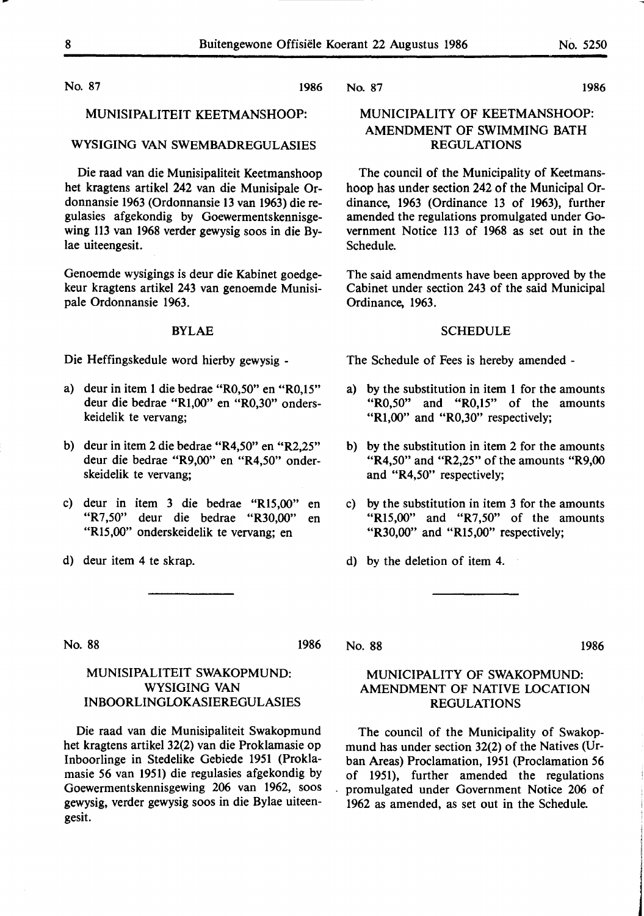No. 87 **1986** 

## MUNISIPALITEIT KEETMANSHOOP:

# **WYSIGING VAN** SWEMBADREGULASIES

Die raad van die Munisipaliteit Keetmanshoop bet kragtens artikel 242 van die Munisipale Ordonnansie 1963 (Ordonnansie 13 van 1963) die regulasies af gekondig by Goewermentskennisgewing 113 van 1968 verder gewysig soos in die Bylae uiteengesit.

Genoemde wysigings is deur die Kabinet goedgekeur kragtens artikel 243 van genoemde Munisipale Ordonnansie 1963.

#### **BYLAE**

Die Heffingskedule word hierby gewysig -

- a) deur in item 1 die bedrae "R0,50" en "R0,15" deur die bedrae "Rl,00" en "R0,30" onderskeidelik te vervang;
- b) deur in item 2 die bedrae "R4,50" en "R2,25" deur die bedrae "R9,00" en "R4,50" onderskeidelik te vervang;
- c) deur in item 3 die bedrae "Rl5,00" en "R7,50" deur die bedrae "R30,00" en "Rl5,00" onderskeidelik te vervang; en

MUNISIPALITEIT SWAKOPMUND: **WYSIGING VAN INBOORLINGLOKASIEREGULASIES** 

Die raad van die Munisipaliteit Swakopmund bet kragtens artikel 32(2) van die Proklamasie op Inboorlinge in Stedelike Gebiede 1951 (Proklamasie *56* van 1951) die regulasies afgekondig by Goewermentskennisgewing 206 van 1962, soos gewysig, verder gewysig soos in die Bylae uiteen-

d) deur item 4 te skrap.

No. 87 **1986** 

# **MUNICIPALITY** OF **KEETMANSHOOP: AMENDMENT** OF **SWIMMING** BATH **REGULATIONS**

The council of the Municipality of Keetmanshoop has under section 242 of the Municipal Ordinance, 1963 (Ordinance 13 of 1963), further amended the regulations promulgated under Government Notice 113 of 1968 as set out in the Schedule.

The said amendments have been approved by the Cabinet under section 243 of the said Municipal Ordinance, 1963.

#### **SCHEDULE**

The Schedule of Fees is hereby amended -

- a) by the substitution in item 1 for the amounts "R0,50" and "R0,15" of the amounts "R1,00" and "R0,30" respectively;
- b) by the substitution in item 2 for the amounts "R4,50" and "R2,25" of the amounts "R9,00 and "R4,50" respectively;
- c) by the substitution in item 3 for the amounts "R15,00" and "R7,50" of the amounts "R30,00" and "R15,00" respectively;
- d) by the deletion of item 4.

No. 88 1986

gesit.

# No. 88 1986

# **MUNICIPALITY** OF **SWAKOPMUND: AMENDMENT** OF **NATIVE LOCATION REGULATIONS**

The council of the Municipality of Swakopmund has under section 32(2) of the Natives (Urban Areas) Proclamation, 1951 (Proclamation *56*  of 1951), further amended the regulations promulgated under Government Notice 206 of 1962 as amended, as set out in the Schedule.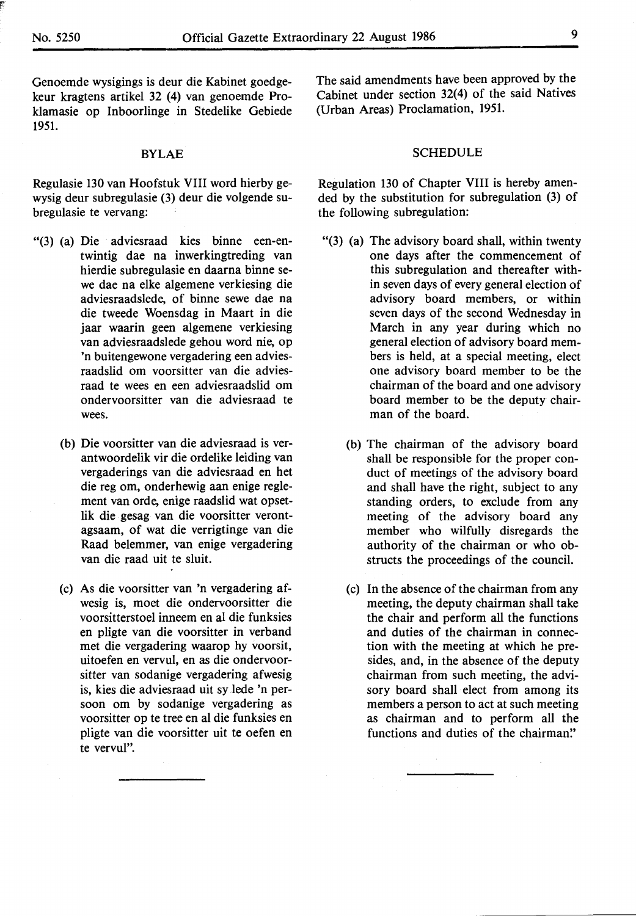Genoemde wysigings is deur die Kabinet goedgekeur kragtens artikel 32 (4) van genoemde Proklamasie op Inboorlinge in Stedelike Gebiede 1951.

# BYLAE

Regulasie 130 van Hoofstuk VIII word hierby gewysig deur subregulasie (3) deur die volgende subregulasie te vervang:

- "(3) (a) Die adviesraad kies binne een-entwintig dae na inwerkingtreding van hierdie subregulasie en daarna binne sewe dae na elke algemene verkiesing die adviesraadslede, of binne sewe dae na die tweede Woensdag in Maart in die jaar waarin geen algemene verkiesing van adviesraadslede gehou word nie, op 'n buitengewone vergadering een adviesraadslid om voorsitter van die adviesraad te wees en een adviesraadslid om ondervoorsitter van die adviesraad te wees.
	- (b) Die voorsitter van die adviesraad is verantwoordelik vir die ordelike leiding van vergaderings van die adviesraad en bet die reg om, onderhewig aan enige reglement van orde, enige raadslid wat opsetlik die gesag van die voorsitter verontagsaam, of wat die verrigtinge van die Raad belemmer, van enige vergadering van die raad uit te sluit.
	- (c) As die voorsitter van 'n vergadering afwesig is, moet die ondervoorsitter die voorsitterstoel inneem en al die funksies en pligte van die voorsitter in verband met die vergadering waarop hy voorsit, uitoefen en vervul, en as die ondervoorsitter van sodanige vergadering afwesig is, kies die adviesraad uit sy Jede 'n persoon om by sodanige vergadering as voorsitter op te tree en al die funksies en pligte van die voorsitter uit te oefen en te vervul".

The said amendments have been approved by the Cabinet under section 32(4) of the said Natives (Urban Areas) Proclamation, **1951.** 

#### SCHEDULE

Regulation 130 of Chapter VIII is hereby amended by the substitution for subregulation (3) of the following subregulation:

- "(3) (a) The advisory board shall, within twenty one days after the commencement of this subregulation and thereafter within seven days of every general election of advisory board members, or within seven days of the second Wednesday in March in any year during which no general election of advisory board members is held, at a special meeting, elect one advisory board member to be the chairman of the board and one advisory board member to be the deputy chairman of the board.
	- (b) The chairman of the advisory board shall be responsible for the proper conduct of meetings of the advisory board and shall have the right, subject to any standing orders, to exclude from any meeting of the advisory board any member who wilfully disregards the authority of the chairman or who obstructs the proceedings of the council.
	- (c) In the absence of the chairman from any meeting, the deputy chairman shall take the chair and perform all the functions and duties of the chairman in connection with the meeting at which he presides, and, in the absenee of the deputy chairman from such meeting, the advisory board shall elect from among its members a person to act at such meeting as chairman and to perform all the functions and duties of the chairman."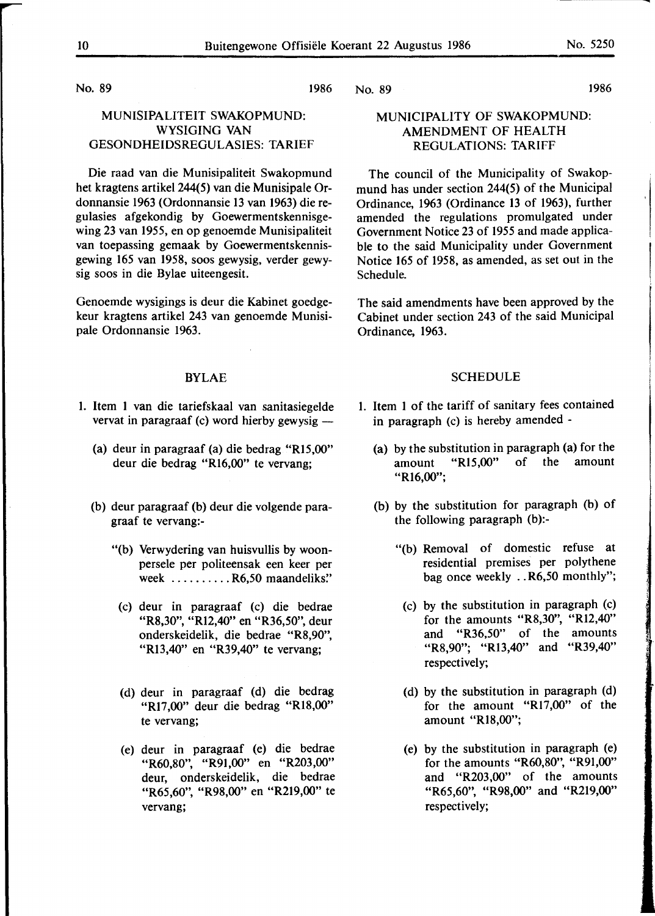No. 89 1986

# MUNISIPALITEIT SWAKOPMUND: WYSIGING VAN GESONDHEIDSREGULASIES: TARIEF

Die raad van die Munisipaliteit Swakopmund het kragtens artikel 244(5) van die Munisipale Ordonnansie 1963 (Ordonnansie 13 van 1963) die regulasies af gekondig by Goewermentskennisgewing 23 van 1955, en op genoemde Munisipaliteit van toepassing gemaak by Goewermentskennisgewing 165 van 1958, soos gewysig, verder gewysig soos in die Bylae uiteengesit.

Genoemde wysigings is deur die Kabinet goedgekeur kragtens artikel 243 van genoemde Munisipale Ordonnansie 1963.

# BYLAE

- 1. Item 1 van die tariefskaal van sanitasiegelde vervat in paragraaf (c) word hierby gewysig  $-$ 
	- (a) deur in paragraaf (a) die bedrag **"R15,00"**  deur die bedrag "R16,00" te vervang;
	- (b) deur paragraaf (b) deur die volgende paragraaf te vervang:-
		- "(b) Verwydering van huisvullis by woonpersele per politeensak een keer per week ..........R6,50 maandeliks."
		- (c) deur in paragraaf (c) die bedrae "R8,30", "Rl2,40" en "R36,50", deur onderskeidelik, die bedrae "R8,90", "R13,40" en "R39,40" te vervang;
		- (d) deur in paragraaf (d) die bedrag **"R17 ,00"** deur die bedrag **"R18,00"**  te vervang;
		- (e) deur in paragraaf (e) die bedrae "R60,80", "R91,00" en "R203,00" deur, onderskeidelik, die bedrae "R65,60", "R98,00" en "R219,00" te vervang;

No. 89 1986

# MUNICIPALITY OF SWAKOPMUND: AMENDMENT OF HEALTH REGULATIONS: TARIFF

The council of the Municipality of Swakopmund has under section 244(5) of the Municipal Ordinance, 1963 (Ordinance 13 of 1963), further amended the regulations promulgated under Government Notice 23 of 1955 and made applicable to the said Municipality under Government Notice 165 of 1958, as amended, as set out in the Schedule.

The said amendments have been approved by the Cabinet under section 243 of the said Municipal Ordinance, 1963.

# **SCHEDULE**

- **1.** Item **1** of the tariff of sanitary fees contained in paragraph (c) is hereby amended -
	- (a) by the substitution in paragraph (a) for the amount "R15.00" of the amount amount "R15,00" of the **"Rl6,00";**
	- (b) by the substitution for paragraph (b) of the following paragraph (b):-
		- "(b) Removal of domestic refuse at residential premises per polythene bag once weekly .. **R6,50** monthly";
			- (c) by the substitution in paragraph (c) for the amounts "R8,30", "Rl2,40" and "R36,50" of the amounts "R8,90"; "Rl3,40" and "R39,40" respectively;
			- (d) by the substitution in paragraph (d) for the amount "R17,00" of the amount "Rl8,00";
			- (e) by the substitution in paragraph (e) for the amounts "R60,80", "R91,00" and "R203,00" of the amounts "R65,60", "R98,00" and "R219,00" respectively;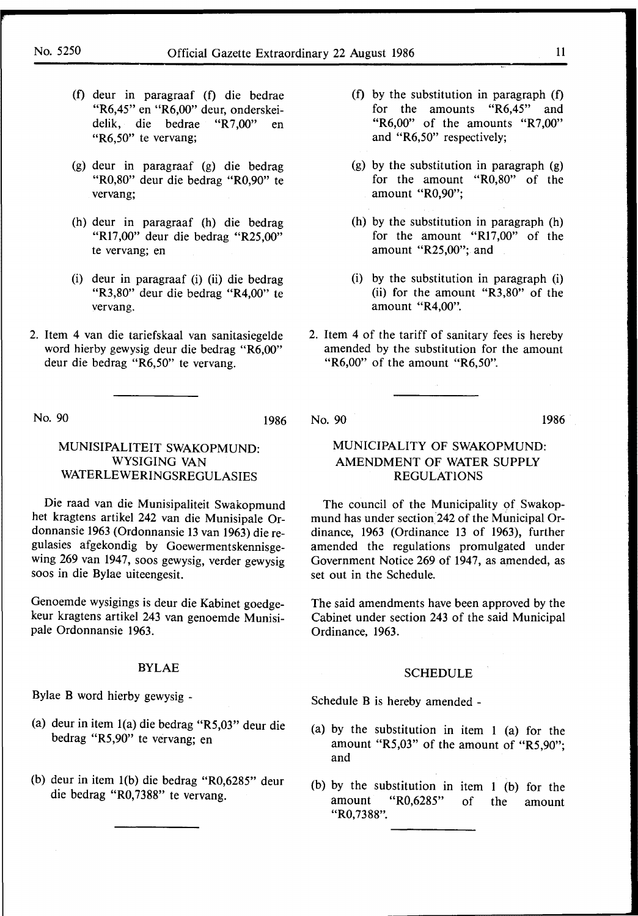- (f) deur in paragraaf (f) die bedrae **"R6,45"** en **"R6,00"** deur, onderskeidelik, die bedrae **"R** 7 ,00" en **"R6,50"** te vervang;
- (g) deur in paragraaf (g) die bedrag "R0,80" deur die bedrag "R0,90" te vervang;
- (h) deur in paragraaf (h) die bedrag "R17,00" deur die bedrag "R25,00" te vervang; en
- (i) deur in paragraaf (i) (ii) die bedrag "R3,80" deur die bedrag "R4,00" te vervang.
- 2. Item 4 van die tariefskaal van sanitasiegelde word hierby gewysig deur die bedrag "R6,00" deur die bedrag "R6,50" te vervang.
- (f) by the substitution in paragraph (f) for the amounts "R6,45" and "R6,00" of the amounts "R7,00" and "R6,50" respectively;
- (g) by the substitution in paragraph (g) for the amount "R0,80" of the amount "R0,90";
- (h) by the substitution in paragraph (h) for the amount "R17,00" of the amount "R25,00"; and
- (i) by the substitution in paragraph (i) (ii) for the amount "R3,80" of the amount "R4,00''.
- 2. Item 4 of the tariff of sanitary fees is hereby amended by the substitution for the amount "R6,00" of the amount "R6,50".

No. 90

#### 1986 No. 90 1986.

# MUNICIPALITY OF SWAKOPMUND: AMENDMENT OF WATER SUPPLY REGULATIONS

The council of the Municipality of Swakopmund has under section 242 of the Municipal Ordinance, 1963 (Ordinance 13 of 1963), further amended the regulations promulgated under Government Notice 269 of 1947, as amended, as set out in the Schedule.

The said amendments have been approved by the Cabinet under section 243 of the said Municipal Ordinance, 1963.

# SCHEDULE

Schedule B is hereby amended -

- (a) by the substitution in item **1** (a) for the amount "RS,03" of the amount of "R5,90"; and
- (b) by the substitution in item 1 (b) for the amount "R0,6285" of the amount **"RO,** 73 88".

# **MUNISIPALITEIT SWAKOPMUND: WYSIGING VAN WATERLEWERINGSREGULASIES**

Die raad van die Munisipaliteit Swakopmund het kragtens artikel 242 van die Munisipale Ordonnansie 1963 (Ordonnansie 13 van 1963) die regulasies afgekondig by Goewermentskennisgewing 269 van 1947, soos gewysig, verder gewysig soos in die Bylae uiteengesit.

Genoemde wysigings is deur die Kabinet goedgekeur kragtens artikel 243 van genoemde Munisipale Ordonnansie 1963.

#### BYLAE

Bylae **B** word hierby gewysig -

- (a) deur in item l(a) die bedrag "R5,03" deur die bedrag "RS,90" te vervang; en
- (b) deur in item l(b) die bedrag "R0,6285" deur die bedrag "R0,7388" te vervang.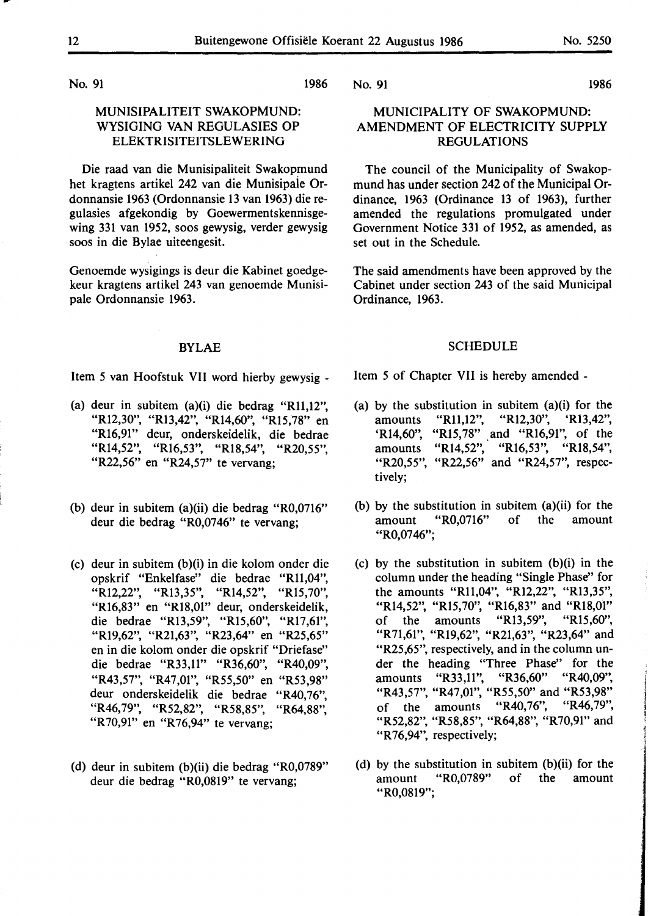1986

No. 91

# MUNISIPALITEIT SWAKOPMUND: WYSIGING VAN REGULASIES OP ELEKTRISITEITSLEWERING

Die raad van die Munisipaliteit Swakopmund het kragtens artikel 242 van die Munisipaie Ordonnansie 1963 (Ordonnansie 13 van 1963) die regulasies afgekondig by Goewermentskennisgewing 331 van 1952, soos gewysig, verder gewysig soos in die Bylae uiteengesit.

Genoemde wysigings is deur die Kabinet goedgekeur kragtens artikel 243 van genoemde Munisipale Ordonnansie 1963.

#### **BYLAE**

Item 5 van Hoofstuk VII word hierby gewysig -

- (a) deur in subitem (a)(i) die bedrag "Rll,12", "Rl2,30", "Rl3,42", "Rl4,60", "Rl5,78" en "Rl6,91" deur, onderskeidelik, die bedrae "Rl4,52", "Rl6,53", "Rl8,54", "R20,55", "R22,56" en "R24,57" te vervang;
- (b) deur in subitem (a)(ii) die bedrag "R0,0716" deur die bedrag "R0,0746" te vervang;
- (c) deur in subitem (b)(i) in die kolom onder die opskrif "Enkelfase" die bedrae "Rll,04", "R12,22", "R13,35", "R14,52", "R15,70", "Rl6,83" en "Rl8,0l" deur, onderskeidelik, die bedrae "R13,59", "R15,60", "R17,61", "Rl9,62", "R21,63", "R23,64" en "R25,65" en in die kolom onder die opskrif "Driefase" die bedrae "R33,ll" "R36,60", "R40,09", "R43,57", "R47,0l", "R55,50" en "R53,98" deur onderskeidelik die bedrae "R40,76",<br>"R46,79", "R52,82", "R58,85", "R64,88", "R70,91" en "R76,94" te vervang;
- (d) deur in subitem (b)(ii) die bedrag "R0,0789" deur die bedrag "R0,0819" te vervang;

No. 91 1986

# MUNICIPALITY OF SWAKOPMUND: AMENDMENT OF ELECTRICITY SUPPLY REGULATIONS

The council of the Municipality of Swakopmund has under section 242 of the Municipal Ordinance, 1963 (Ordinance 13 of 1963), further amended the regulations promulgated under Government Notice 331 of 1952, as amended, as set out in the Schedule.

The said amendments have been approved by the Cabinet under section 243 of the said Municipal Ordinance, 1963.

#### SCHEDULE

Item 5 of Chapter VII is hereby amended -

- (a) by the substitution in subitem (a)(i) for the amounts "Rll,12", "Rl2,30", 'Rl3,42", 'R14,60", "R15,78" and "R16,91", of the amounts "Rl4,52", "Rl6,53", "Rl8,54", "R20,55", "R22,56" and "R24,57", respectively;
- (b) by the substitution in subitem **(a)(ii)** for the amount "R0,0716" of the amount **"R0,0746";**
- (c) by the substitution in subitem (b)(i) in the column under the heading "Single Phase" for the amounts "Rll,04", "Rl2,22", "Rl3,35", "R14,52", "R15,70", "R16,83" and "R18,01"<br>of the amounts "R13,59", "R15,60", of the amounts "Rl3,59", "Rl5,60", "R71,61", "Rl9,62", "R21,63", "R23,64" and "R25,65", respectively, and in the column under the heading "Three Phase" for the amounts "R33,11", "R36,60" "R40,09", amounts "R33,11", "R36,60" "R43,57", "R47,01", "R55,50" and "R53,98"<br>of the amounts "R40.76", "R46,79", of the amounts "R40,76", "R52,82", "R58,85", "R64,88", "R70,91" and "R 76,94", respectively;
- (d) by the substitution in subitem (b)(ii) for the amount "R0,0789" of the amount **"R0,0819";**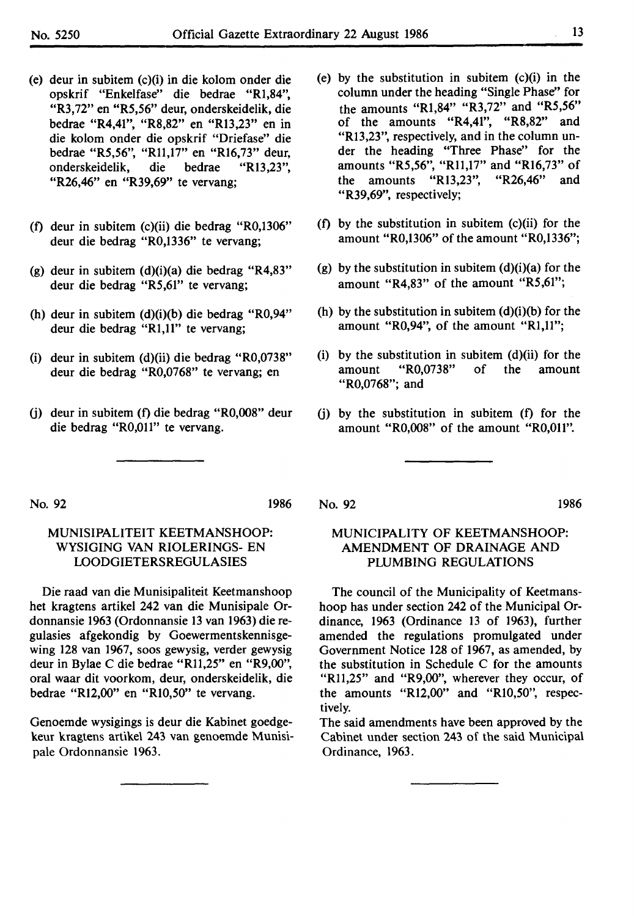- (e) deur in subitem (c)(i) in die kolom onder die opskrif "Enkelfase" die bedrae "Rl,84", "R3,72" en "R5,56" deur, onderskeidelik, die bedrae "R4,41", "R8,82" en "Rl3,23" en in die kolom onder die opskrif "Driefase" die bedrae "R5,56", "Rll,17" en "Rl6,73" deur, onderskeidelik, die bedrae "Rl3,23", "R26,46" en "R39,69" te vervang;
- (f) deur in subitem (c)(ii) die bedrag "R0,1306" deur die bedrag "R0,1336" te vervang;
- (g) deur in subitem (d)(i)(a) die bedrag "R4,83" deur die bedrag "R5,61" te vervang;
- (h) deur in subitem (d)(i)(b) die bedrag "R0,94" deur die bedrag "Rl,11" te vervang;
- (i) deur in subitem (d)(ii) die bedrag "R0,0738" deur die bedrag "R0,0768" te vervang; en
- (j) deur in subitem (f) die bedrag "R0,008" deur die bedrag "R0,011" te vervang.
- (e) by the substitution in subitem (c)(i) in the column under the heading "Single Phase'' for the amounts **"Rl,84"** "R3,72" and **"R5,56"**  of the amounts **"R4,41", "R8,82"** and "Rl3,23", respectively, and in the column under the heading "Three Phase" for the amounts "R5,56", "Rll,17" and "Rl6,73" of the amounts "Rl3,23", "R26,46" and "R39,69", respectively;
- (f) by the substitution in subitem (c)(ii) for the amount "R0,1306" of the amount "R0,1336";
- (g) by the substitution in subitem  $(d)(i)(a)$  for the amount **"R4,83"** of the amount **"R5,61";**
- (h) by the substitution in subitem  $(d)(i)(b)$  for the amount **"R0,94",** of the amount **"Rl,11";**
- (i) by the substitution in subitem (d)(ii) for the amount "R0,0738" of the amount "R0,0768"; and
- (j) by the substitution in subitem (f) for the amount "R0,008" of the amount "R0,011".

No. 92 1986

# MUNISIPALITEIT KEETMANSHOOP: WYSIGING VAN RIOLERINGS- EN LOODGIETERSREGULASIES

Die raad van die Munisipaliteit Keetmanshoop het kragtens artikel 242 van die Munisipale Ordonnansie 1963 (Ordonnansie 13 van 1963) die regulasies afgekondig by Goewermentskennisgewing 128 van 1967, soos gewysig, verder gewysig deur in Bylae C die bedrae "Rll,25" en "R9,00", oral waar dit voorkom, deur, onderskeidelik, die bedrae "Rl2,00" en "RI0,50" te vervang.

Genoemde wysigings is deur die Kabinet goedgekeur kragtens artikel 243 van genoemde Munisipale Ordonnansie 1963.

## No. 92 1986

MUNICIPALITY OF KEETMANSHOOP: AMENDMENT OF DRAINAGE AND PLUMBING REGULATIONS

The council of the Municipality of Keetmanshoop has under section 242 of the Municipal Ordinance, 1963 (Ordinance 13 of 1963), further amended the regulations promulgated under Government Notice 128 of 1967, as amended, by the substitution in Schedule C for the amounts "Rll,25" and "R9,00", wherever they occur, of the amounts "Rl2,00" and "RI0,50", respectively.

The said amendments have been approved by the Cabinet under section 243 of the said Municipal Ordinance, 1963.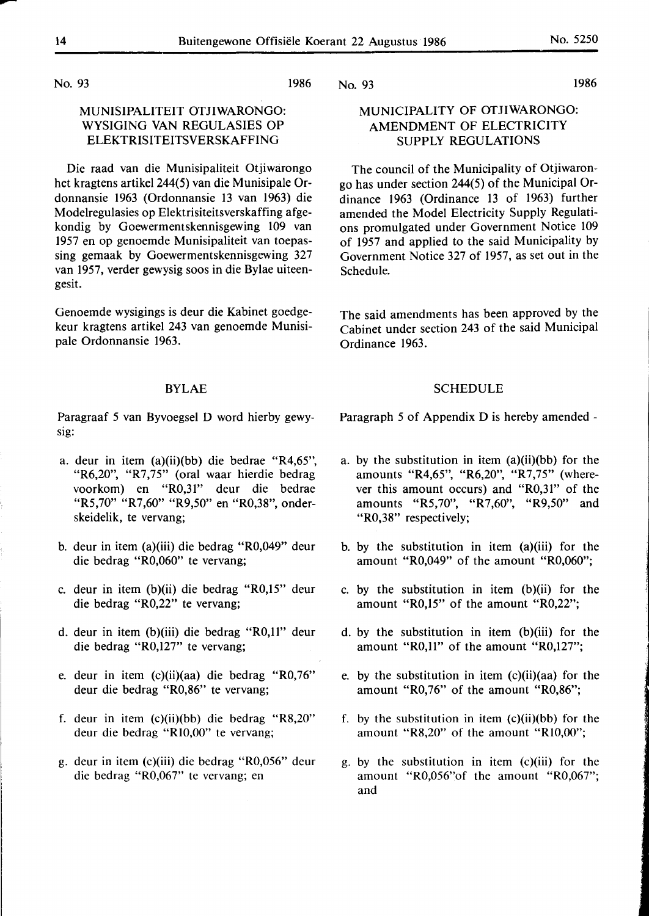1986

No. 93

# MUNISIPALITEIT OTJIWARONGO: WYSIGING VAN REGULASIES OP ELEKTRISITEITSVERSKAFFING

Die raad van die Munisipaliteit Otjiwarongo het kragtens artikel 244(5) van die Munisipale Ordonnansie 1963 (Ordonnansie 13 van 1963) die Modelregulasies op Elektrisiteitsverskaffing afgekondig by Goewermentskennisgewing 109 van 1957 en op genoemde Munisipaliteit van toepassing gemaak by Goewermentskennisgewing 327 van 1957, verder gewysig soos in die Bylae uiteengesit.

Genoemde wysigings is deur die Kabinet goedgekeur kragtens artikel 243 van genoemde Munisipale Ordonnansie 1963.

# BYLAE

Paragraaf 5 van Byvoegsel D word hierby gewysig:

- a. deur in item (a)(ii)(bb) die bedrae "R4,65", "R6,20", "R7,75" (oral waar hierdie bedrag voorkom) en "R0,31" deur die bedrae "R5,70" "R7,60" "R9,50" en "R0,38", onderskeidelik, te vervang;
- b. deur in item (a)(iii) die bedrag "R0,049" deur die bedrag "R0,060" te vervang;
- c. deur in item (b)(ii) die bedrag "R0,15" deur die bedrag "R0,22" te vervang;
- d. deur in item (b)(iii) die bedrag "R0,11" deur die bedrag "R0,127" te vervang;
- e. deur in item (c)(ii)(aa) die bedrag "R0,76" deur die bedrag "R0,86" te vervang;
- f. deur in item (c)(ii)(bb) die bedrag "R8,20" deur die bedrag "Rl0,00" te vervang;
- g. deur in item (c)(iii) die bedrag "R0,056" deur die bedrag "R0,067" te vervang; en

# MUNICIPALITY OF OTJIWARONGO: AMENDMENT OF ELECTRICITY SUPPLY REGULATIONS

The council of the Municipality of Otjiwarongo has under section 244(5) of the Municipal Ordinance 1963 (Ordinance 13 of 1963) further amended the Model Electricity Supply Regulations promulgated under Government Notice 109 of 1957 and applied to the said Municipality by Government Notice 327 of 1957, as set out in the Schedule.

The said amendments has been approved by the Cabinet under section 243 of the said Municipal Ordinance 1963.

### **SCHEDULE**

Paragraph 5 of Appendix D is hereby amended -

- a. by the substitution in item (a)(ii)(bb) for the amounts "R4,65", "R6,20", "R7,75" (wherever this amount occurs) and "R0,31" of the amounts "R5,70", "R7,60", "R9,50" and "R0,38" respectively;
- b. by the substitution in item (a)(iii) for the amount "R0,049" of the amount "R0,060";
- c. by the substitution in item  $(b)(ii)$  for the amount "R0,15" of the amount "R0,22";
- d. by the substitution in item (b)(iii) for the amount "R0,11" of the amount "R0,127";
- e. by the substitution in item (c)(ii)(aa) for the amount "R0,76" of the amount "R0,86";
- f. by the substitution in item  $(c)(ii)(bb)$  for the amount "R8,20" of the amount "Rl0,00";
- g. by the substitution in item (c)(iii) for the amount "R0,056" of the amount "R0,067"; and

-

No. 93 1986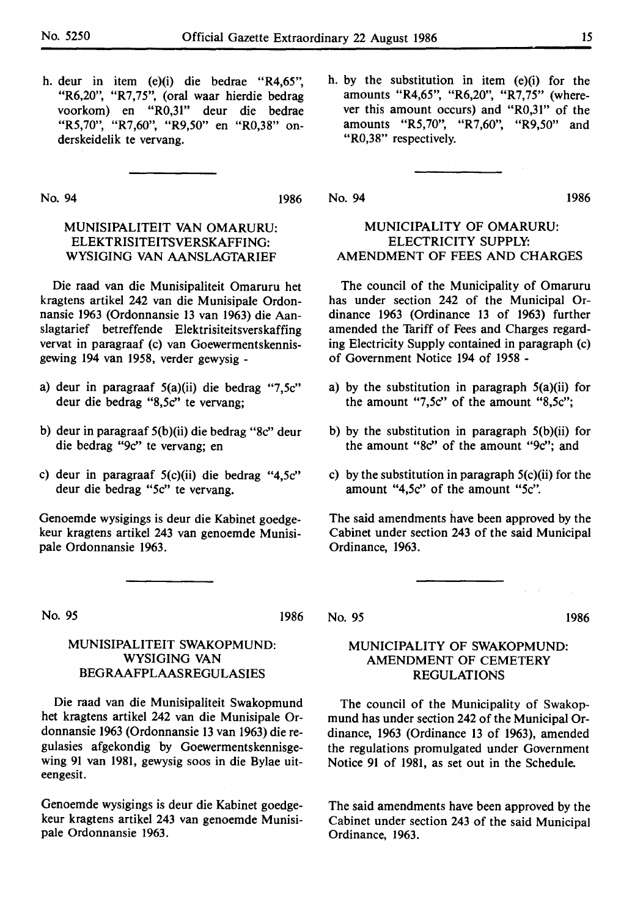h. deur in item (e)(i) die bedrae "R4,65", "R6,20", "R7,75", (oral waar hierdie bedrag voorkom) en "R0,31" deur die bedrae "R5,70", "R7,60", "R9,50" en "R0,38" onderskeidelik te vervang.

No. 94 1986

# MUNISIPALITEIT VAN OMARURU: ELEKTRISITEITSVERSKAFFING: WYSIGING VAN AANSLAGTARIEF

Die raad van die Munisipaliteit Omaruru bet kragtens artikel 242 van die Munisipale Ordonnansie 1963 (Ordonnansie 13 van 1963) die Aanslagtarief betreffende Elektrisiteitsverskaffing vervat in paragraaf (c) van Goewermentskennisgewing 194 van 1958, verder gewysig -

- a) deur in paragraaf 5(a)(ii) die bedrag "7,5c" deur die bedrag "8,5c" te vervang;
- b) deur in paragraaf 5(b )(ii) die bedrag "8c" deur die bedrag "9c" te vervang; en
- c) deur in paragraaf 5(c)(ii) die bedrag "4,5c" deur die bedrag *"Sc"* te vervang.

Genoemde wysigings is deur die Kabinet goedgekeur kragtens artikel 243 van genoemde Munisipale Ordonnansie 1963.

No. *95* 

1986

# MUNISIPALITEIT SWAKOPMUND: WYSIGING VAN BEGRAAFPLAASREGULASIES

Die raad van die Munisipaliteit Swakopmund bet kragtens artikel 242 van die Munisipale Ordonnansie 1963 (Ordonnansie 13 van 1963) die regulasies afgekondig by Goewermentskennisgewing 91 van 1981, gewysig soos in die Bylae uiteengesit.

Genoemde wysigings is deur die Kabinet goedgekeur kragtens artikel 243 van genoemde Munisipale Ordonnansie 1963.

h. by the substitution in item (e)(i) for the amounts "R4,65", "R6,20", "R7,75" (wherever this amount occurs) and "R0,31" of the amounts "R5,70", "R7,60", "R9,50" and "R0,38" respectively.

No. 94 1986

# MUNICIPALITY OF OMARURU: ELECTRICITY SUPPLY: AMENDMENT OF FEES AND CHARGES

The council of the Municipality of Omaruru has under section 242 of the Municipal Ordinance 1963 (Ordinance 13 of 1963) further amended the Tariff of Fees and Charges regarding Electricity Supply contained in paragraph (c) of Government Notice 194 of 1958 -

- a) by the substitution in paragraph 5(a)(ii) for the amount "7 *,Sc"* of the amount "8,5c";
- b) by the substitution in paragraph 5(b)(ii) for the amount "Sc" of the amount "9c"; and
- c) by the substitution in paragraph  $5(c)(ii)$  for the amount "4,5c" of the amount *"Sc".*

The said amendments have been approved by the Cabinet under section 243 of the said Municipal Ordinance, 1963.

No. *95* 1986

# MUNICIPALITY OF SWAKOPMUND: AMENDMENT OF CEMETERY REGULATIONS

The council of the Municipality of Swakopmund has under section 242 of the Municipal Ordinance, 1963 (Ordinance 13 of 1963), amended the regulations promulgated under Government Notice 91 of 1981, as set out in the Schedule.

The said amendments have been approved by the Cabinet under section 243 of the said Municipal Ordinance, 1963.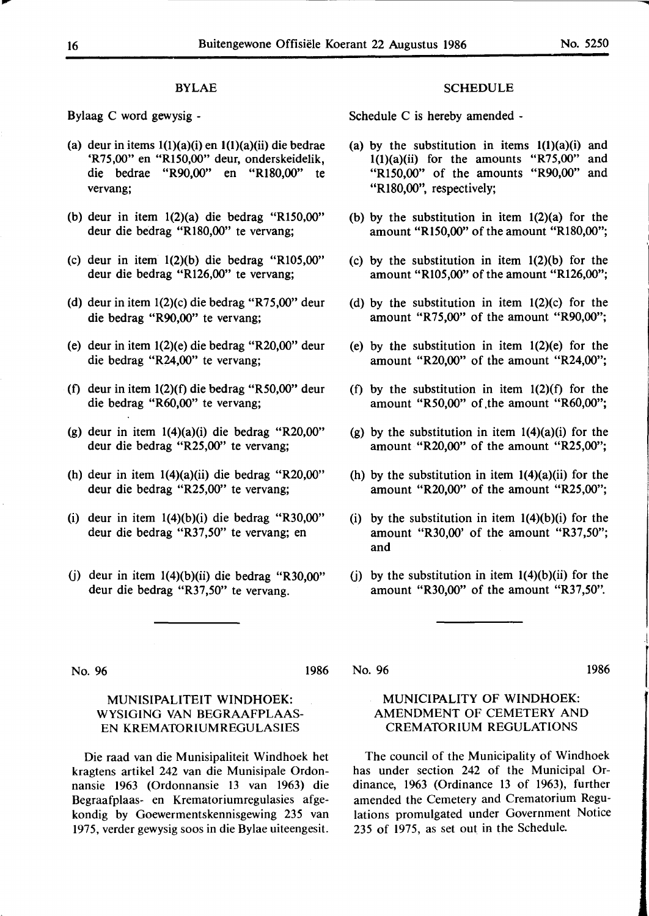#### BYLAE

Bylaag C word gewysig -

- (a) deur in items  $1(1)(a)(i)$  en  $1(1)(a)(ii)$  die bedrae 'R75,00" en "R150,00" deur, onderskeidelik, die bedrae "R90.00" en "R180.00" te vervang;
- (b) deur in item 1(2)(a) die bedrag "Rl50,00" deur die bedrag "Rl80,00" te vervang;
- (c) deur in item 1(2)(b) die bedrag "Rl05,00" deur die bedrag "Rl26,00" te vervang;
- (d) deur in item 1(2)(c) die bedrag "R75,00" deur die bedrag "R90,00" te vervang;
- (e) deur in item 1(2)(e) die bedrag "R20,00" deur die bedrag "R24,00" te vervang;
- (f) deur in item 1(2)(f) die bedrag "R50,00" deur die bedrag "R60,00" te vervang;
- (g) deur in item 1(4)(a)(i) die bedrag "R20,00" deur die bedrag "R25,00" te vervang;
- (h) deur in item 1(4)(a)(ii) die bedrag "R20,00" deur die bedrag "R25,00" te vervang;
- (i) deur in item 1(4)(b)(i) die bedrag "R30,00" deur die bedrag "R37,50" te vervang; en
- (j) deur in item  $1(4)(b)(ii)$  die bedrag "R30,00" deur die bedrag "R37,50" te vervang.

#### **SCHEDULE**

Schedule C is hereby amended -

- (a) by the substitution in items **l(l)(a)(i)** and  $l(1)(a)(ii)$  for the amounts "R75,00" and "Rl50,00" of the amounts "R90,00" and "Rl80,00", respectively;
- (b) by the substitution in item 1(2)(a) for the amount "Rl50,00" of the amount "RI80,00";
- (c) by the substitution in item 1(2)(b) for the amount "Rl05,00" of the amount "Rl26,00";
- (d) by the substitution in item 1(2)(c) for the amount "R75,00" of the amount "R90,00";
- (e) by the substitution in item 1(2)(e) for the amount "R20,00" of the amount "R24,00";
- (f) by the substitution in item  $1(2)(f)$  for the amount "R50,00" of the amount "R60,00";
- (g) by the substitution in item  $1(4)(a)(i)$  for the amount "R20,00" of the amount "R25,00";
- (h) by the substitution in item  $1(4)(a)(ii)$  for the amount "R20,00" of the amount "R25,00";
- (i) by the substitution in item  $1(4)(b)(i)$  for the amount "R30,00' of the amount "R37,50"; and
- (j) by the substitution in item  $1(4)(b)(ii)$  for the amount "R30,00" of the amount "R37,50".

No. 96

#### 1986

#### No. 96 1986

I

|<br>|<br>|<br>|<br>|

# MUNISIPALITEIT WINDHOEK: WYSIGING VAN BEGRAAFPLAAS-EN KREMATORIUMREGULASIES

Die raad van die Munisipaliteit Windhoek het kragtens artikel 242 van die Munisipale Ordonnansie 1963 (Ordonnansie 13 van 1963) die Begraafplaas- en Krematoriumregulasies afgekondig by Goewermentskennisgewing 235 van 1975, verder gewysig soos in die Bylae uiteengesit.

# MUNICIPALITY OF WINDHOEK: AMENDMENT OF CEMETERY AND CREMATORIUM REGULATIONS

The council of the Municipality of Windhoek has under section 242 of the Municipal Ordinance, 1963 (Ordinance 13 of 1963), further amended the Cemetery and Crematorium Regulations promulgated under Government Notice 235 of 1975, as set out in the Schedule.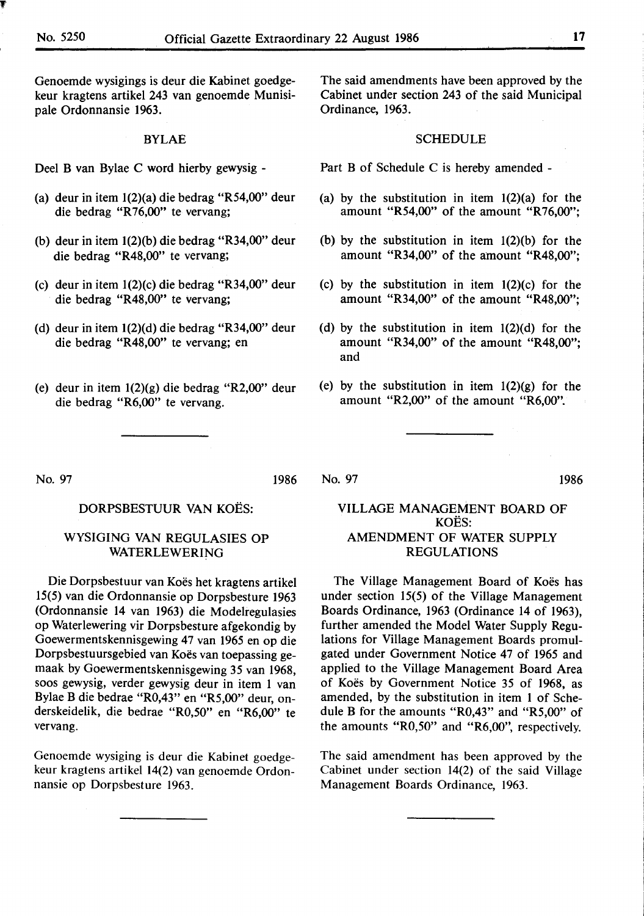Genoemde wysigings is deur die Kabinet goedgekeur kragtens artikel 243 van genoemde Munisipale Ordonnansie 1963.

#### BYLAE

Deel B van Bylae C word hierby gewysig -

- (a) deur in item 1(2)(a) die bedrag "R54,00" deur die bedrag **"R** 76,00" te vervang;
- (b) deur in item 1(2)(b) die bedrag "R34,00" deur die bedrag "R48,00" te vervang;
- (c) deur in item 1(2)(c) die bedrag "R34,00" deur die bedrag "R48,00" te vervang;
- (d) deur in item 1(2)(d) die bedrag "R34,00" deur die bedrag "R48,00" te vervang; en
- (e) deur in item 1(2)(g) die bedrag "R2,00" deur die bedrag **"R6,00"** te vervang.

The said amendments have been approved by the Cabinet under section 243 of the said Municipal Ordinance, 1963.

#### SCHEDULE

- Part B of Schedule C is hereby amended -
- (a) by the substitution in item  $1(2)(a)$  for the amount "R54,00" of the amount "R76,00";
- (b) by the substitution in item 1(2)(b) for the amount **"R34,00"** of the amount **"R48,00";**
- (c) by the substitution in item 1(2)(c) for the amount "R34,00" of the amount "R48,00";
- (d) by the substitution in item 1(2)(d) for the amount **"R34,00"** of the amount **"R48,00";**  and
- (e) by the substitution in item  $1(2)(g)$  for the amount "R2,00" of the amount "R6,00".

No. 97

1986

# DORPSBESTUUR VAN KOËS:

# WYSIGING VAN REGULASIES OP **WATERLEWERING**

Die Dorpsbestuur van Koës het kragtens artikel 15(5) van die Ordonnansie op Dorpsbesture 1963 (Ordonnansie 14 van 1963) die Modelregulasies op Waterlewering vir Dorpsbesture afgekondig by Goewermentskennisgewing 47 van 1965 en op die Dorpsbestuursgebied van Koës van toepassing gemaak by Goewermentskennisgewing 35 van 1968, soos gewysig, verder gewysig deur in item 1 van Bylae B die bedrae "R0,43" en "R5,00" deur, onderskeidelik, die bedrae "R0,50" en "R6,00" te vervang.

Genoemde wysiging is deur die Kabinet goedgekeur kragtens artikel 14(2) van genoemde Ordonnansie op Dorpsbesture 1963.

# VILLAGE MANAGEMENT BOARD OF KOES: AMENDMENT OF WATER SUPPLY REGULATIONS

No. 97 1986

The Village Management Board of Koës has under section 15(5) of the Village Management Boards Ordinance, 1963 (Ordinance 14 of 1963), further amended the Model Water Supply Regulations for Village Management Boards promulgated under Government Notice 47 of 1965 and applied to the Village Management Board Area of Koës by Government Notice 35 of 1968, as amended, by the substitution in item 1 of Schedule B for the amounts "R0,43" and "R5,00" of the amounts "R0,50" and "R6,00", respectively.

The said amendment has been approved by the Cabinet under section 14(2) of the said Village Management Boards Ordinance, 1963.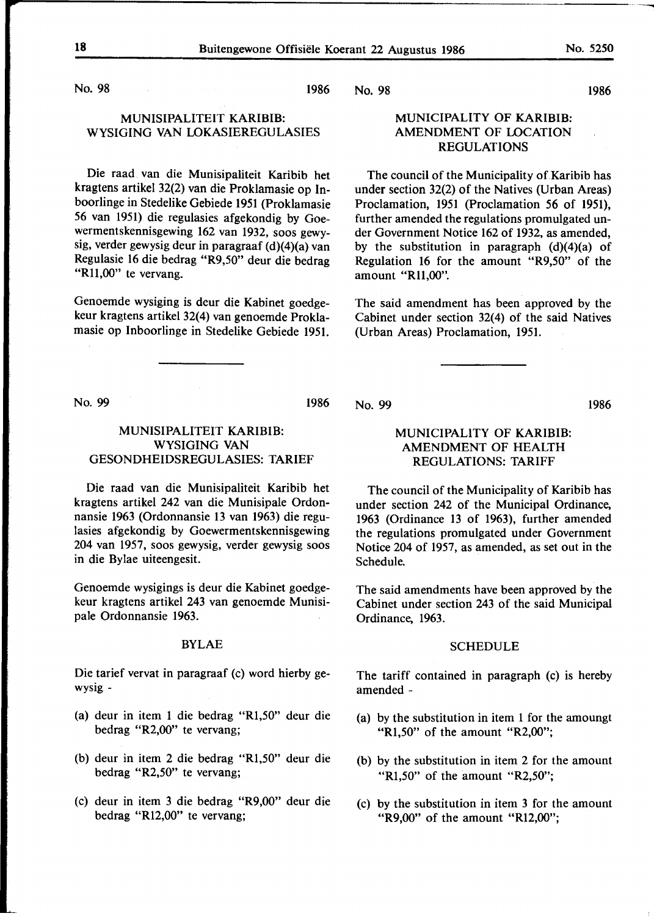No. 98 1986

# MUNISIPALITEIT **KARIBIB:**  WYSIGING VAN LOKASIEREGULASIES

Die raad van die Munisipaliteit Karibib het kragtens artikel 32(2) van die Proklamasie op Inboorlinge in Stedelike Gebiede 1951 (Proklamasie 56 van 1951) die regulasies afgekondig by Goewermentskennisgewing 162 van 1932, soos gewysig, verder gewysig deur in paragraaf (d)(4)(a) van Regulasie 16 die bedrag "R9,50" deur die bedrag "R11,00" te vervang.

Genoemde wysiging is deur die Kabinet goedgekeur kragtens artikel 32(4) van genoemde Proklamasie op Inboorlinge in Stedelike Gebiede 1951.

#### No. 98

# MUNICIPALITY OF **KARIBIB:**  AMENDMENT OF LOCATION REGULATIONS

The council of the Municipality of Karibib has under section 32(2) of the Natives (Urban Areas) Proclamation, 1951 (Proclamation 56 of 1951), further amended the regulations promulgated under Government Notice 162 of 1932, as amended, by the substitution in paragraph (d)(4)(a) of Regulation 16 for the amount "R9,50" of the amount "Rll,00".

The said amendment has been approved by the Cabinet under section 32(4) of the said Natives (Urban Areas) Proclamation, 1951.

No. 99 1986

# MUNISIPALITEIT **KARIBIB:**  WYSIGING VAN GESONDHEIDSREGULASIES: TARIEF

Die raad van die Munisipaliteit Karibib het kragtens artikel 242 van die Munisipale Ordonnansie 1963 (Ordonnansie 13 van 1963) die regulasies afgekondig by Goewermentskennisgewing 204 van 1957, soos gewysig, verder gewysig soos in die Bylae uiteengesit.

Genoemde wysigings is deur die Kabinet goedgekeur kragtens artikel 243 van genoemde Munisipale Ordonnansie 1963.

### BYLAE

Die tarief vervat in paragraaf (c) word hierby gewysig -

- (a) deur in item 1 die bedrag "Rl,50" deur die bedrag "R2,00" te vervang;
- (b) deur in item 2 die bedrag "Rl,50" deur die bedrag "R2,50" te vervang;
- (c) deur in item 3 die bedrag "R9,00" deur die bedrag "Rl2,00" te vervang;

No. 99

# MUNICIPALITY OF **KARIBIB: AMENDMENT OF HEALTH REGULATIONS: TARIFF**

The council of the Municipality of Karibib has under section 242 of the Municipal Ordinance, 1963 (Ordinance 13 of 1963), further amended the regulations promulgated under Government Notice 204 of 1957, as amended, as set out in the Schedule.

The said amendments have been approved by the Cabinet under section 243 of the said Municipal Ordinance, 1963.

#### SCHEDULE

The tariff contained in paragraph (c) is hereby amended -

- (a) by the substitution in item 1 for the amoungt "Rl,50" of the amount "R2,00";
- (b) by the substitution in item 2 for the amount "R1,50" of the amount "R2,50";
- (c) by the substitution in item 3 for the amount "R9,00" of the amount "Rl2,00";

1986

1986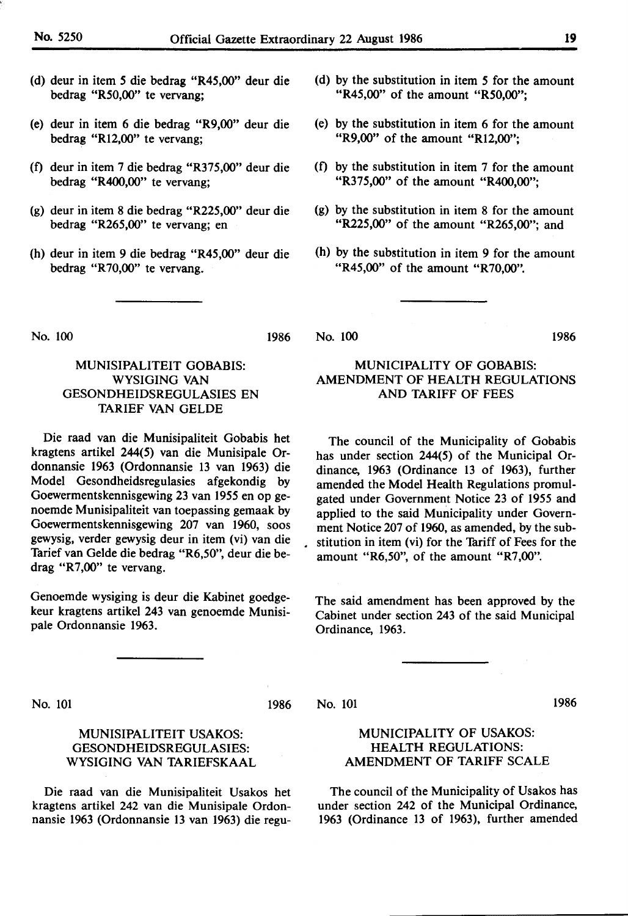- (d) deur in item *5* die bedrag "R45,00" deur die bedrag "R50,00" te vervang;
- (e) deur in item 6 die bedrag "R9,00" deur die bedrag "Rl2,00" te vervang;
- (0 deur in item 7 die bedrag "R375,00" deur die bedrag **"R400,00"** te vervang;
- (g) deur in item 8 die bedrag **"R225,00"** deur die bedrag **"R265,00"** te vervang; en
- (h) deur in item 9 die bedrag **"R45,00"** deur die bedrag "R70,00" te vervang.
- (d) by the substitution in item *5* for the amount "R45,00" of the amount "R50,00";
- (e) by the substitution in item 6 for the amount "R9,00" of the amount "Rl2,00";
- (f) by the substitution in item  $7$  for the amount "R375,00" of the amount **"R400,00";**
- (g) by the substitution in item 8 for the amount **"R225,00"** of the amount **"R265,00";** and
- (h) by the substitution in item 9 for the amount "R45,00" of the amount "R70,00".

No. 100

1986

# MUNISIPALITEIT GOBABIS: WYSIGING VAN GESONDHEIDSREGULASIES EN **TARIEF VAN** GELDE

Die raad van die Munisipaliteit Gobabis het kragtens artikel 244(5) van die Munisipale Ordonnansie 1963 (Ordonnansie 13 van 1963) die Model Gesondheidsregulasies afgekondig by Goewermentskennisgewing 23 van 1955 en op genoemde Munisipaliteit van toepassing gemaak by Goewermentskennisgewing 207 van 1960, soos gewysig, verder gewysig deur in item (vi) van die Tarief van Gelde die bedrag "R6,50", deur die bedrag **"R7,00"** te vervang.

Genoemde wysiging is deur die Kabinet goedgekeur kragtens artikel 243 van genoemde Munisipale Ordonnansie 1963.

### No. 100 1986

# MUNICIPALITY OF GOBABIS: AMENDMENT OF HEALTH REGULATIONS AND TARIFF OF FEES

The council of the Municipality of Gobabis has under section 244(5) of the Municipal Ordinance, 1963 (Ordinance 13 of 1963), further amended the Model Health Regulations promulgated under Government Notice 23 of 1955 and applied to the said Municipality under Government Notice 207 of 1960, as amended, by the sub- . stitution in item (vi) for the Tariff of Fees for the amount "R6,50", of the amount "R7,00".

The said amendment has been approved by the Cabinet under section 243 of the said Municipal Ordinance, 1963.

No. 101 1986

# MUNISIPALITEIT USAKOS: GESONDHEIDSREGULASIES: WYSIGING **VAN TARIEFSKAAL**

Die raad van die Munisipaliteit Usakos het kragtens artikel 242 van die Munisipale Ordonnansie 1963 (Ordonnansie 13 van 1963) die reguNo. 101 1986

# MUNICIPALITY OF USAKOS: HEALTH REGULATIONS: AMENDMENT OF TARIFF SCALE

The council of the Municipality of Usakos has under section 242 of the Municipal Ordinance, 1963 (Ordinance 13 of 1963), further amended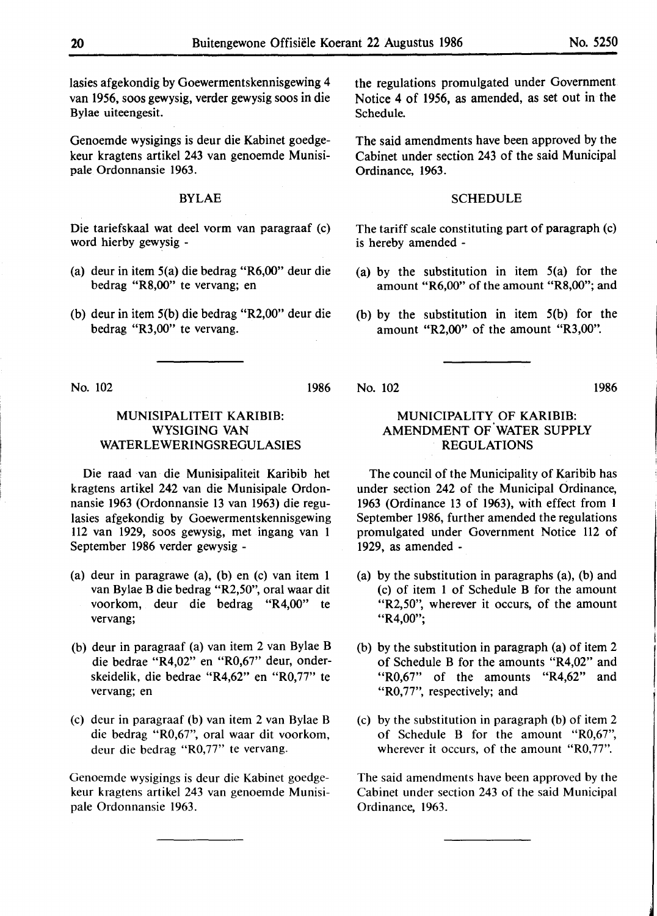lasies afgekondig by Goewermentskennisgewing 4 van 1956, soos gewysig, verder gewysig soos in die Bylae uiteengesit.

Genoemde wysigings is deur die Kabinet goedgekeur kragtens artikel 243 van genoemde Munisipale Ordonnansie 1963.

# BYLAE

Die tariefskaal wat deel vorm van paragraaf (c) word hierby gewysig -

- (a) deur in item 5(a) die bedrag "R6,00" deur die bedrag **"R8,00"** te vervang; en
- (b) deur in item 5(b) die bedrag "R2,00" deur die bedrag "R3,00" te vervang.

No. 102

# MUNISIPALITEIT **KARIBIB:**  WYSIGING VAN WATERLEWERINGSREGULASIES

Die raad van die Munisipaliteit Karibib het kragtens artikel 242 van die Munisipale Ordonnansie 1963 (Ordonnansie 13 van 1963) die regulasies afgekondig by Goewermentskennisgewing 112 van 1929, soos gewysig, met ingang van 1 September 1986 verder gewysig -

- (a) deur in paragrawe (a), (b) en (c) van item 1 van Bylae B die bedrag **"R2,50",** oral waar dit voorkom, deur die bedrag "R4,00" te vervang;
- (b) deur in paragraaf (a) van item 2 van Bylae B die bedrae "R4,02" en "R0,67" deur, onderskeidelik, die bedrae "R4,62" en "R0,77" te vervang; en
- (c) deur in paragraaf (b) van item 2 van Bylae B die bedrag "R0,67", oral waar dit voorkom, deur die bedrag "R0,77" te vervang.

Genoemde wysigings is deur die Kabinet goedgekeur kragtens artikel 243 van genoemde Munisipale Ordonnansie 1963.

the regulations promulgated under Government Notice 4 of 1956, as amended, as set out in the Schedule.

The said amendments have been approved by the Cabinet under section 243 of the said Municipal Ordinance, 1963.

#### **SCHEDULE**

The tariff scale constituting part of paragraph (c) is hereby amended -

- (a) by the substitution in item 5(a) for the amount "R6,00" of the amount "R8,00"; and
- (b) by the substitution in item 5(b) for the amount "R2,00" of the amount "R3,00".

No. 102

# MUNICIPALITY OF **KARIBIB:**  AMENDMENT OF WATER SUPPLY REGULATIONS

The council of the Municipality of Karibib has under section 242 of the Municipal Ordinance, 1963 (Ordinance 13 of 1963), with effect from l September 1986, further amended the regulations promulgated under Government Notice 112 of 1929, as amended -

- (a) by the substitution in paragraphs (a), (b) and (c) of item 1 of Schedule B for the amount "R2,50", wherever it occurs, of the amount "R4,00";
- (b) by the substitution in paragraph (a) of item 2 of Schedule B for the amounts "R4,02" and "R0,67" of the amounts "R4,62" and "R0,77", respectively; and
- (c) by the substitution in paragraph (b) of item 2 of Schedule B for the amount "R0,67", wherever it occurs, of the amount "R0,77".

The said amendments have been approved by the Cabinet under section 243 of the said Municipal Ordinance, 1963.

1986

1986